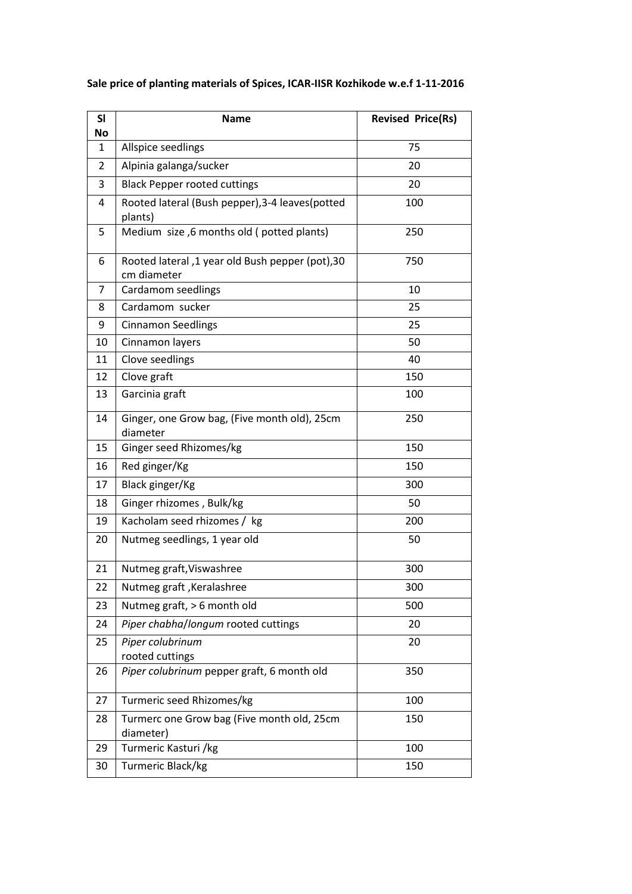| <b>SI</b><br>No | <b>Name</b>                                                     | <b>Revised Price(Rs)</b> |
|-----------------|-----------------------------------------------------------------|--------------------------|
| 1               | Allspice seedlings                                              | 75                       |
| $\overline{2}$  | Alpinia galanga/sucker                                          | 20                       |
| 3               | <b>Black Pepper rooted cuttings</b>                             | 20                       |
| 4               | Rooted lateral (Bush pepper), 3-4 leaves (potted<br>plants)     | 100                      |
| 5               | Medium size, 6 months old (potted plants)                       | 250                      |
| 6               | Rooted lateral, 1 year old Bush pepper (pot), 30<br>cm diameter | 750                      |
| 7               | Cardamom seedlings                                              | 10                       |
| 8               | Cardamom sucker                                                 | 25                       |
| 9               | <b>Cinnamon Seedlings</b>                                       | 25                       |
| 10              | Cinnamon layers                                                 | 50                       |
| 11              | Clove seedlings                                                 | 40                       |
| 12              | Clove graft                                                     | 150                      |
| 13              | Garcinia graft                                                  | 100                      |
| 14              | Ginger, one Grow bag, (Five month old), 25cm<br>diameter        | 250                      |
| 15              | Ginger seed Rhizomes/kg                                         | 150                      |
| 16              | Red ginger/Kg                                                   | 150                      |
| 17              | Black ginger/Kg                                                 | 300                      |
| 18              | Ginger rhizomes, Bulk/kg                                        | 50                       |
| 19              | Kacholam seed rhizomes / kg                                     | 200                      |
| 20              | Nutmeg seedlings, 1 year old                                    | 50                       |
| 21              | Nutmeg graft, Viswashree                                        | 300                      |
| 22              | Nutmeg graft, Keralashree                                       | 300                      |
| 23              | Nutmeg graft, > 6 month old                                     | 500                      |
| 24              | Piper chabha/longum rooted cuttings                             | 20                       |
| 25              | Piper colubrinum<br>rooted cuttings                             | 20                       |
| 26              | Piper colubrinum pepper graft, 6 month old                      | 350                      |
| 27              | Turmeric seed Rhizomes/kg                                       | 100                      |
| 28              | Turmerc one Grow bag (Five month old, 25cm<br>diameter)         | 150                      |
| 29              | Turmeric Kasturi /kg                                            | 100                      |
| 30              | Turmeric Black/kg                                               | 150                      |

## **Sale price of planting materials of Spices, ICAR-IISR Kozhikode w.e.f 1-11-2016**